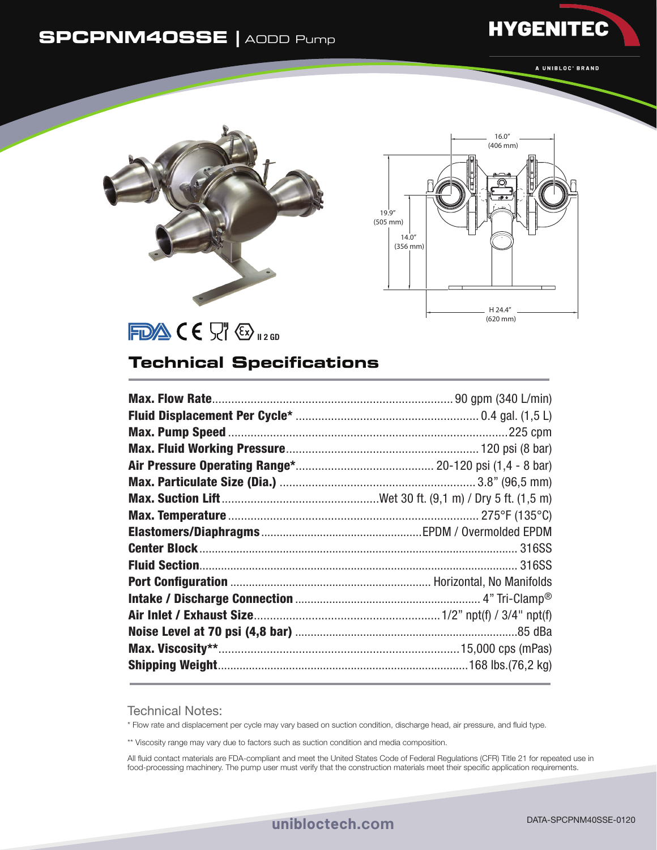## **SPCPNM40SSE |** AODD Pump

A UNIBLOC<sup>\*</sup> BRAND

**HYGENITEC** 



FDACE STEED

## **Technical Specifications**

Technical Notes:

\* Flow rate and displacement per cycle may vary based on suction condition, discharge head, air pressure, and fluid type.

\*\* Viscosity range may vary due to factors such as suction condition and media composition.

All fluid contact materials are FDA-compliant and meet the United States Code of Federal Regulations (CFR) Title 21 for repeated use in food-processing machinery. The pump user must verify that the construction materials meet their specific application requirements.